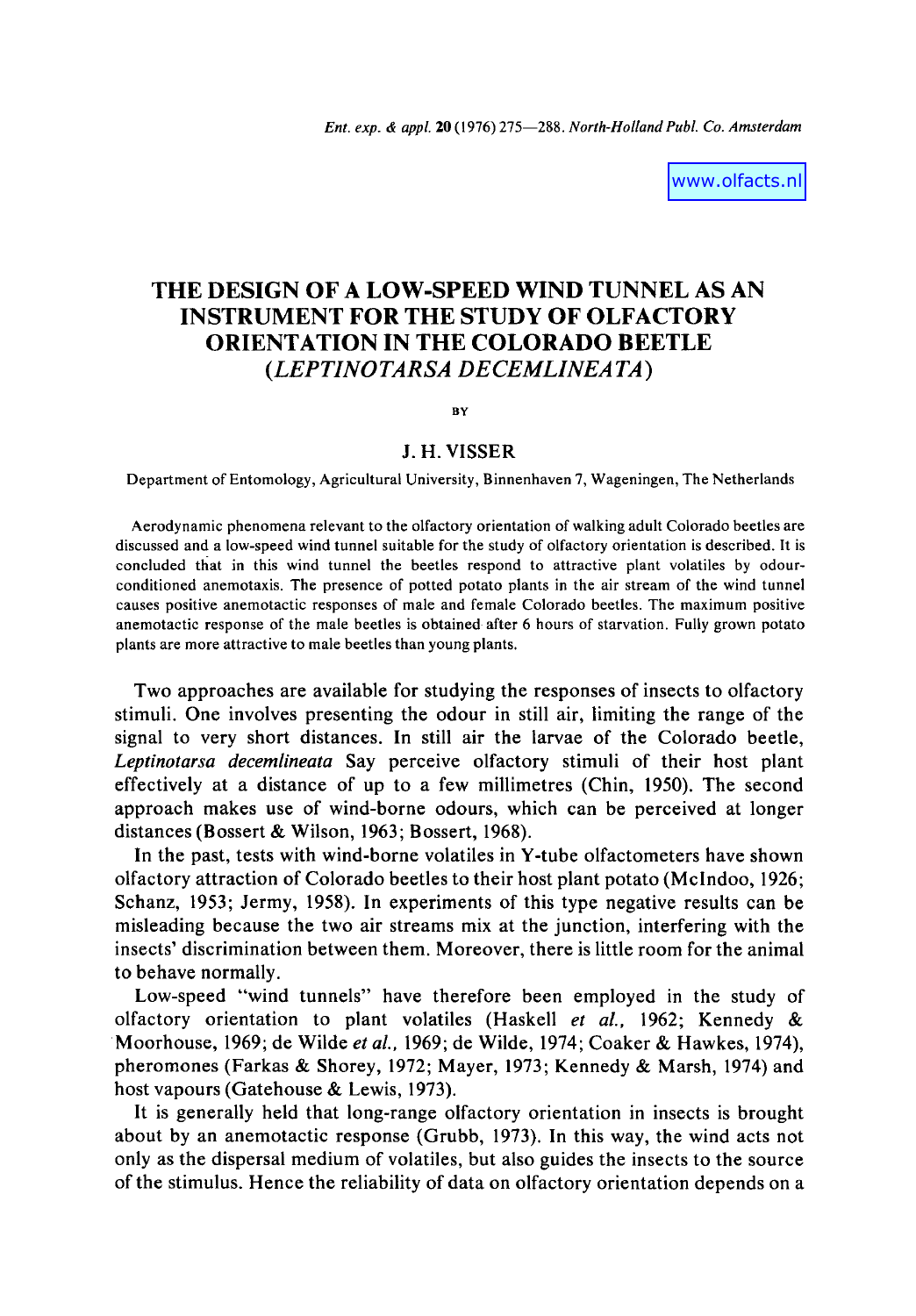www.olfacts.nl

# **THE DESIGN OF A LOW-SPEED WIND TUNNEL AS AN INSTRUMENT FOR THE STUDY OF OLFACTORY ORIENTATION IN THE COLORADO BEETLE**  *(LEPTINOTARSA DECEMLINEATA)*

BY

### **J. H. VISSER**

Department of Entomology, Agricultural University, Binnenhaven 7, Wageningen, The Netherlands

Aerodynamic phenomena relevant to the olfactory orientation of walking adult Colorado beetles are discussed and a low-speed wind tunnel suitable for the study of olfactory orientation is described. It is concluded tfiat in this wind tunnel the beetles respond to attractive plant volatiles by odourconditioned anemotaxis. The presence of potted potato plants in the air stream of the wind tunnel causes positive anemotactic responses of male and female Colorado beetles. The maximum positive anemotactic response of the male beetles is obtained after 6 hours of starvation. Fully grown potato plants are more attractive to male beetles than young plants.

Two approaches are available for studying the responses of insects to olfactory stimuli. One involves presenting the odour in still air, limiting the range of the signal to very short distances. In still air the larvae of the Colorado beetle, *Leptinotarsa decemlineata* Say perceive olfactory stimuli of their host plant effectively at a distance of up to a few millimetres (Chin, 1950). The second approach makes use of wind-borne odours, which can be perceived at longer distances (Bossert & Wilson, 1963; Bossert, 1968).

In the past, tests with wind-borne volatiles in Y-tube olfactometers have shown olfactory attraction of Colorado beetles to their host plant potato (Mclndoo, 1926; Schanz, 1953; Jermy, 1958). In experiments of this type negative results can be misleading because the two air streams mix at the junction, interfering with the insects' discrimination between them. Moreover, there is little room for the animal to behave normally.

Low-speed "wind tunnels" have therefore been employed in the study of olfactory orientation to plant volatiles (Haskell *et aL,* 1962; Kennedy & Moorhouse, 1969; de Wilde *et al.,* 1969; de Wilde, 1974; Coaker & Hawkes, 1974), pheromones (Farkas & Shorey, 1972; Mayer, 1973; Kennedy & Marsh, 1974) and host vapours (Gatehouse & Lewis, 1973).

It is generally held that long-range olfactory orientation in insects is brought about by an anemotactic response (Grubb, 1973). In this way, the wind acts not only as the dispersal medium of volatiles, but also guides the insects to the source of the stimulus. Hence the reliability of data on olfactory orientation depends on a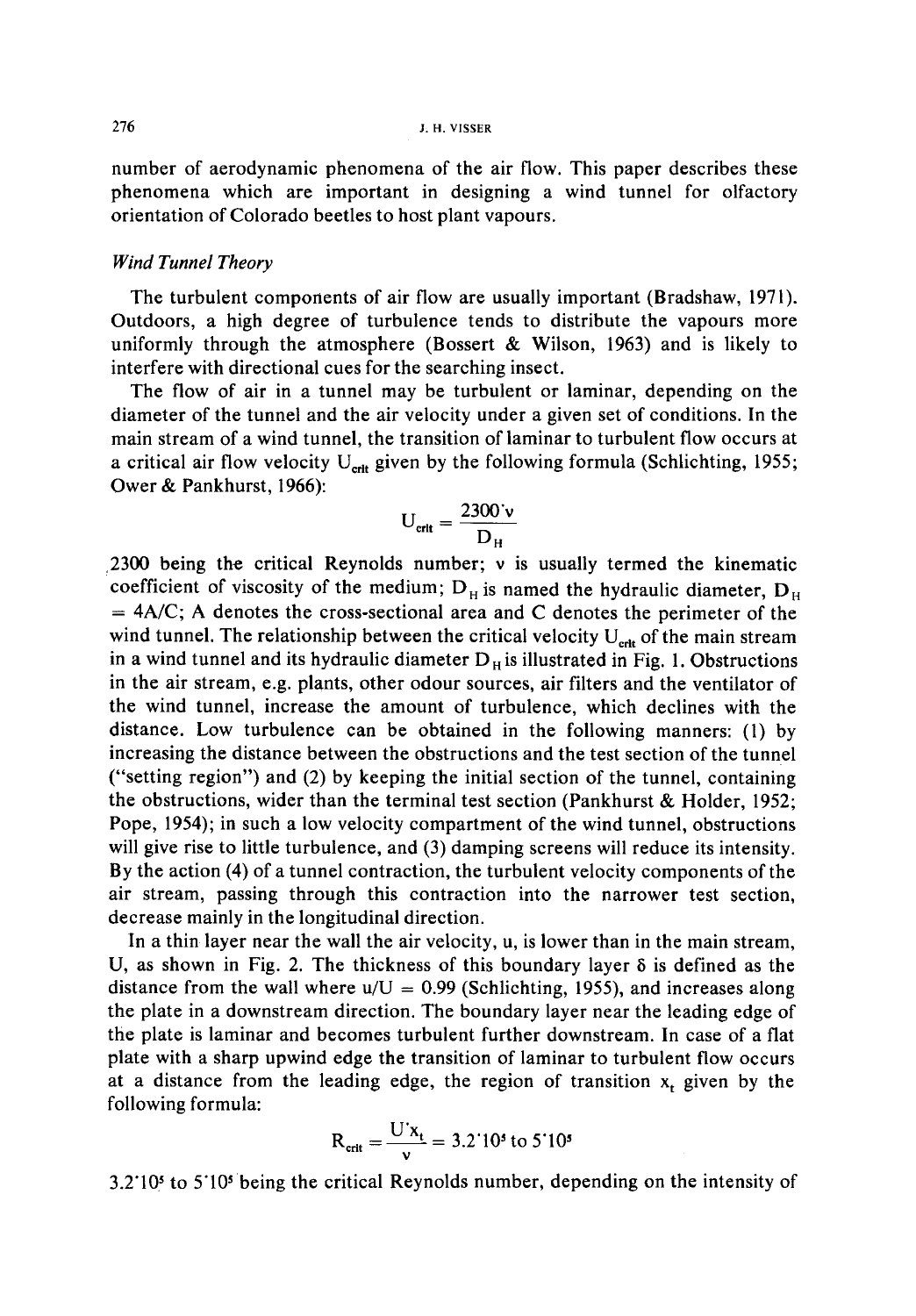number of aerodynamic phenomena of the air flow. This paper describes these phenomena which are important in designing a wind tunnel for olfactory orientation of Colorado beetles to host plant vapours.

#### *Wind Tunnel Theory*

The turbulent components of air flow are usually important (Bradshaw, 1971). Outdoors, a high degree of turbulence tends to distribute the vapours more uniformly through the atmosphere (Bossert  $\&$  Wilson, 1963) and is likely to interfere with directional cues for the searching insect.

The flow of air in a tunnel may be turbulent or laminar, depending on the diameter of the tunnel and the air velocity under a given set of conditions. In the main stream of a wind tunnel, the transition of laminar to turbulent flow occurs at a critical air flow velocity  $U_{\text{crit}}$  given by the following formula (Schlichting, 1955; Ower & Pankhurst, 1966):

$$
U_{\text{crit}} = \frac{2300 \text{`v}}{D_{\text{H}}}
$$

2300 being the critical Reynolds number;  $\nu$  is usually termed the kinematic coefficient of viscosity of the medium;  $D_H$  is named the hydraulic diameter,  $D_H$  $=$  4A/C; A denotes the cross-sectional area and C denotes the perimeter of the wind tunnel. The relationship between the critical velocity  $U_{\text{crit}}$  of the main stream in a wind tunnel and its hydraulic diameter  $D_H$  is illustrated in Fig. 1. Obstructions in the air stream, e.g. plants, other odour sources, air filters and the ventilator of the wind tunnel, increase the amount of turbulence, which declines with the distance. Low turbulence can be obtained in the following manners: (1) by increasing the distance between the obstructions and the test section of the tunnel ("setting region") and (2) by keeping the initial section of the tunnel, containing the obstructions, wider than the terminal test section (Pankhurst & Holder, 1952; Pope, 1954); in such a low velocity compartment of the wind tunnel, obstructions will give rise to little turbulence, and (3) damping screens will reduce its intensity. By the action (4) of a tunnel contraction, the turbulent velocity components of the air stream, passing through this contraction into the narrower test section, decrease mainly in the longitudinal direction.

In a thin layer near the wall the air velocity, u, is lower than in the main stream, U, as shown in Fig. 2. The thickness of this boundary layer  $\delta$  is defined as the distance from the wall where  $u/U = 0.99$  (Schlichting, 1955), and increases along the plate in a downstream direction. The boundary layer near the leading edge of the plate is laminar and becomes turbulent further downstream. In case of a flat plate with a sharp upwind edge the transition of laminar to turbulent flow occurs at a distance from the leading edge, the region of transition  $x_t$  given by the following formula:

$$
R_{\text{crit}} = \frac{U'x_t}{v} = 3.2'10^5 \text{ to } 5'10^5
$$

3.2"105 to 5"105 being the critical Reynolds number, depending on the intensity of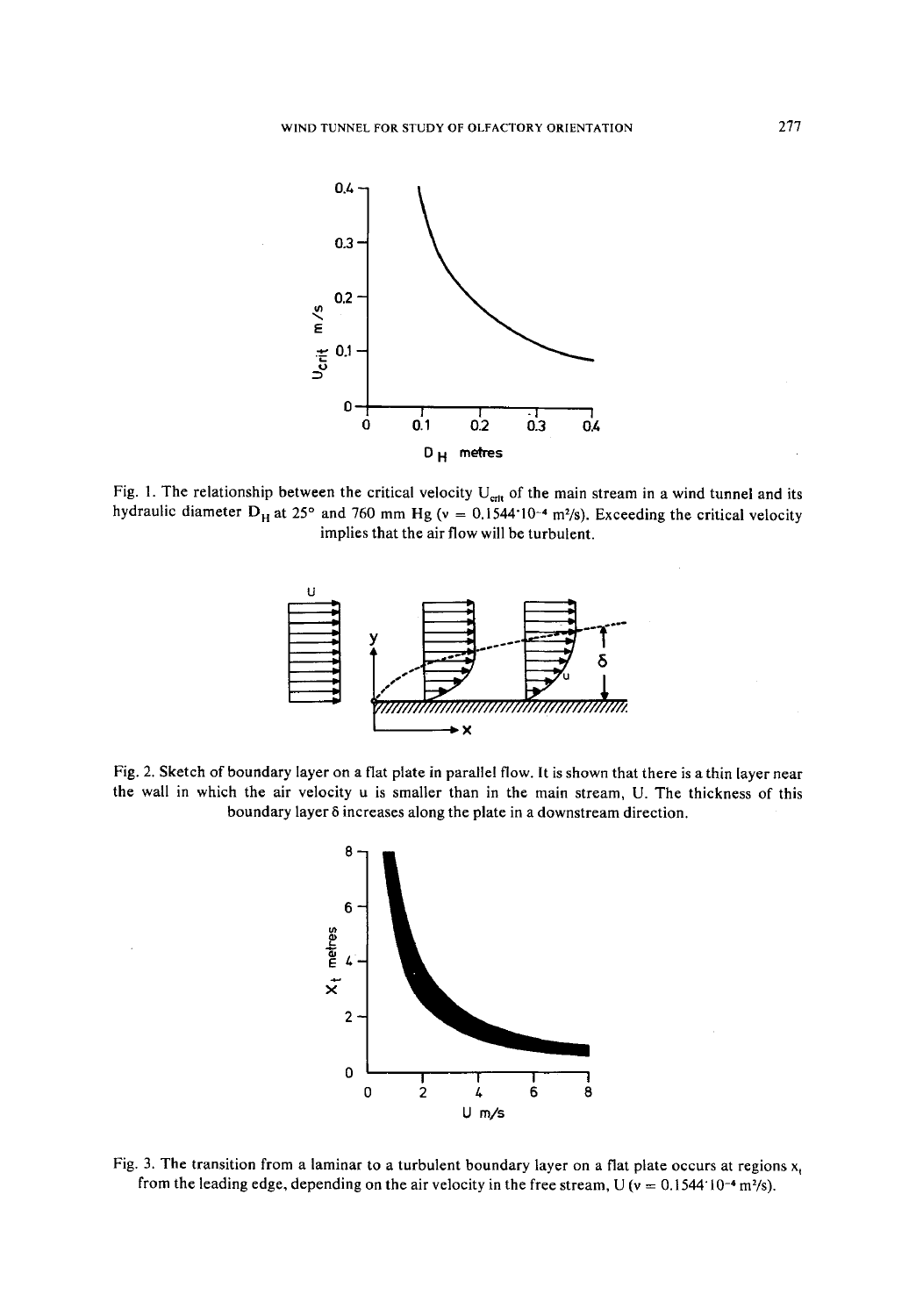

Fig. 1. The relationship between the critical velocity  $U_{\text{crit}}$  of the main stream in a wind tunnel and its hydraulic diameter  $D_H$  at 25° and 760 mm Hg (v = 0.1544 10<sup>-4</sup> m<sup>2</sup>/s). Exceeding the critical velocity implies that the air flow will be turbulent.



Fig. 2. Sketch of boundary layer on a flat plate in parallel flow. It is shown that there is a thin layer near the wall in which the air velocity u is smaller than in the main stream, U. The thickness of this boundary layer 6 increases along the plate in a downstream direction.



Fig. 3. The transition from a laminar to a turbulent boundary layer on a flat plate occurs at regions  $x<sub>t</sub>$ from the leading edge, depending on the air velocity in the free stream, U ( $v = 0.1544 \cdot 10^{-4}$  m<sup>2</sup>/s).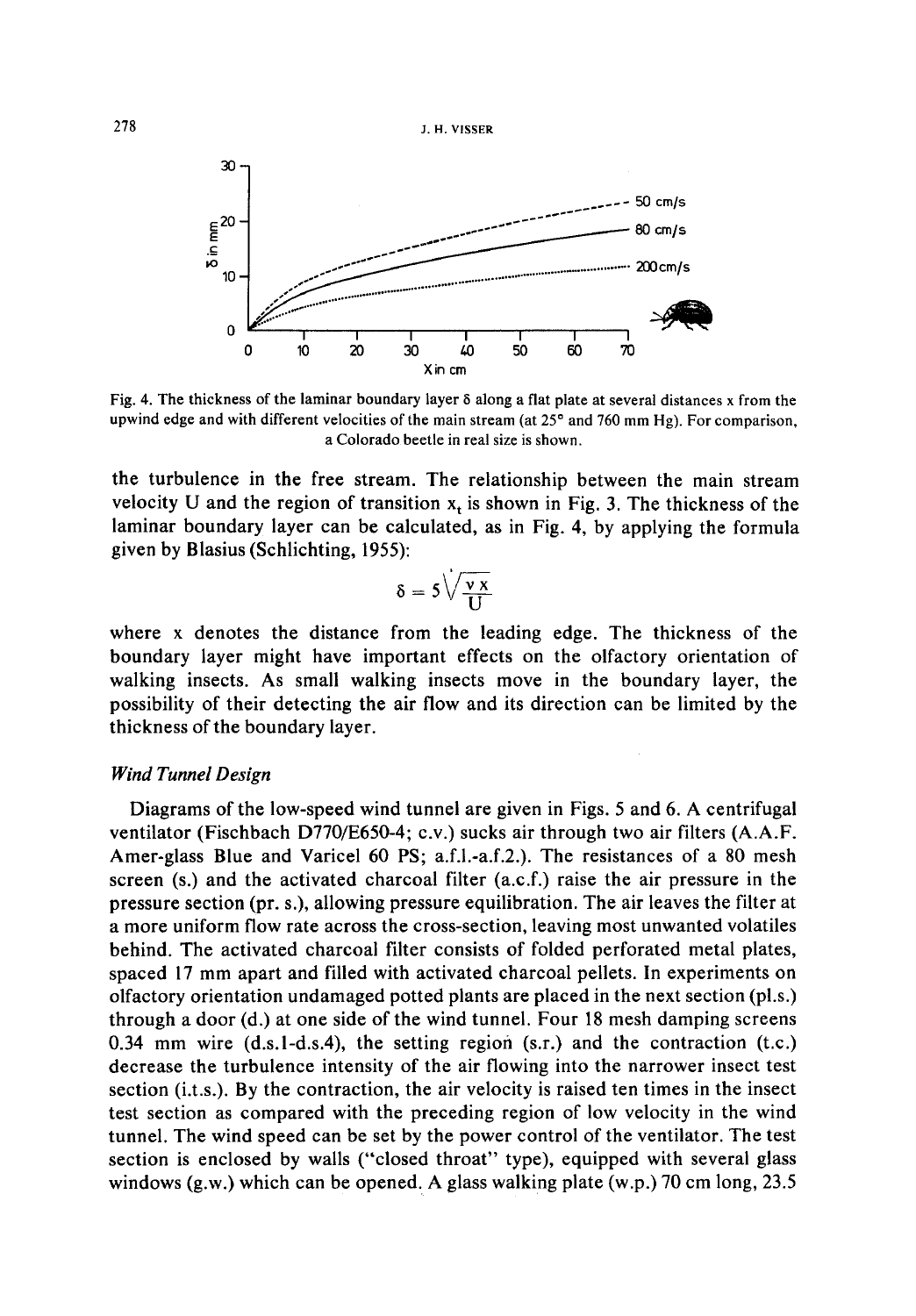278 J.H. VISSER



Fig. 4. The thickness of the laminar boundary layer 6 along a flat plate at several distances x from the upwind edge and with different velocities of the main stream (at  $25<sup>o</sup>$  and 760 mm Hg). For comparison, a Colorado beetle in real size is shown.

the turbulence in the free stream. The relationship between the main stream velocity U and the region of transition  $x_t$  is shown in Fig. 3. The thickness of the laminar boundary layer can be calculated, as in Fig. 4, by applying the formula given by Blasius (Schlichting, 1955):

$$
\delta = 5\sqrt{\frac{v\,x}{U}}
$$

where x denotes the distance from the leading edge. The thickness of the boundary layer might have important effects on the olfactory orientation of walking insects. As small walking insects move in the boundary layer, the possibility of their detecting the air flow and its direction can be limited by the thickness of the boundary layer.

# *Wind Tunnel Design*

Diagrams of the low-speed wind tunnel are given in Figs. 5 and 6. A centrifugal ventilator (Fischbach D770/E650-4; c.v.) sucks air through two air filters (A.A.F. Amer-glass Blue and Varicel 60 PS; a.f.l.-a.f.2.). The resistances of a 80 mesh screen (s.) and the activated charcoal filter (a.c.f.) raise the air pressure in the pressure section (pr. s.), allowing pressure equilibration. The air leaves the filter at a more uniform flow rate across the cross-section, leaving most unwanted volatiles behind. The activated charcoal filter consists of folded perforated metal plates, spaced 17 mm apart and filled with activated charcoal pellets. In experiments on olfactory orientation undamaged potted plants are placed in the next section (pl.s.) through a door (d.) at one side of the wind tunnel. Four 18 mesh damping screens 0.34 mm wire  $(d.s.1-d.s.4)$ , the setting region  $(s.r.)$  and the contraction  $(t.c.)$ decrease the turbulence intensity of the air flowing into the narrower insect test section (i.t.s.). By the contraction, the air velocity is raised ten times in the insect test section as compared with the preceding region of low velocity in the wind tunnel. The wind speed can be set by the power control of the ventilator. The test section is enclosed by walls ("closed throat" type), equipped with several glass windows (g.w.) which can be opened. A glass walking plate (w.p.) 70 cm long, 23.5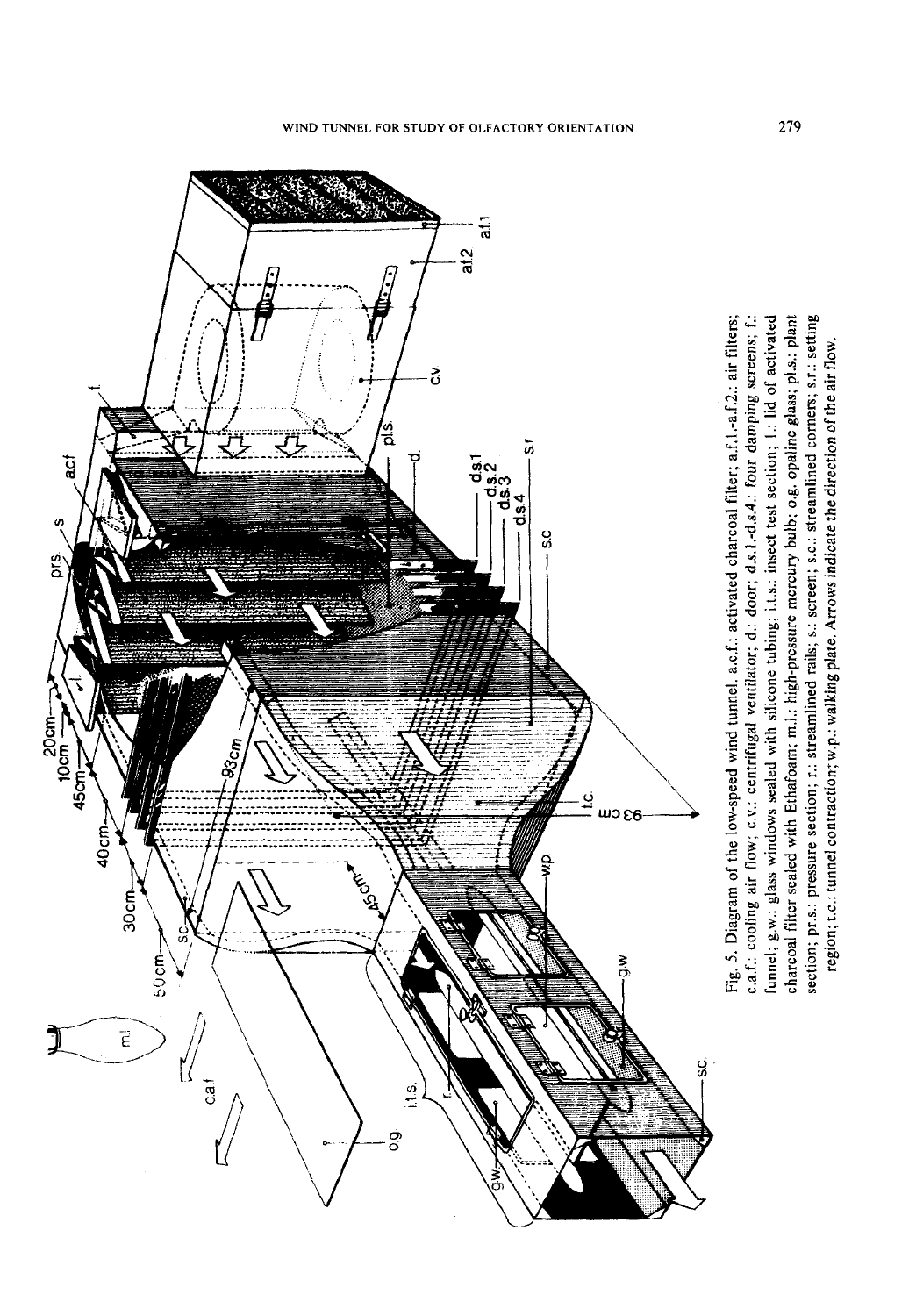

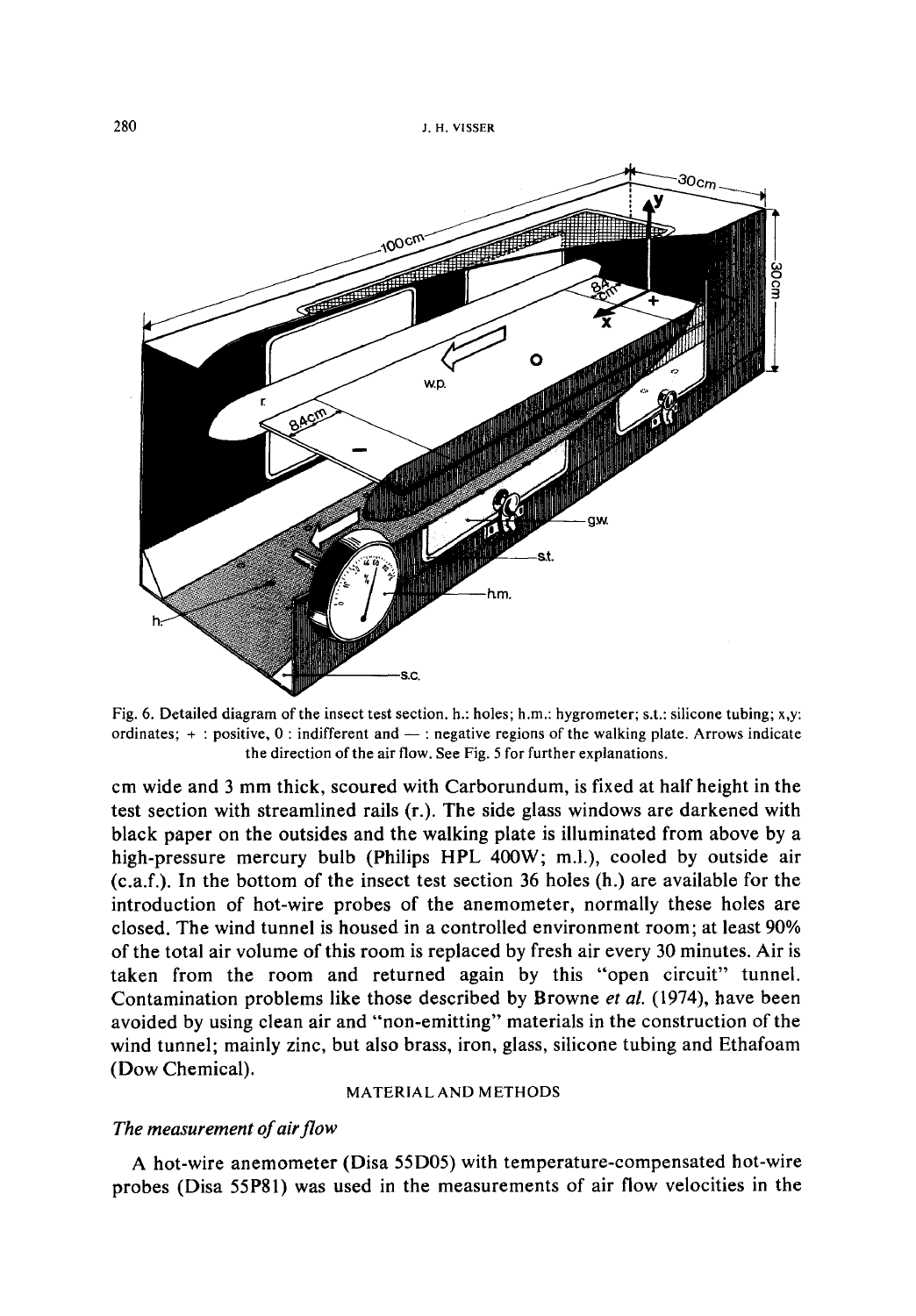

Fig. 6. Detailed diagram of the insect test section, b.: holes; h.m.: hygrometer; s.t.: silicone tubing; x,y: ordinates;  $+$ : positive,  $0$ : indifferent and  $-$ : negative regions of the walking plate. Arrows indicate the direction of the air flow. See Fig. 5 for further explanations.

cm wide and 3 mm thick, scoured with Carborundum, is fixed at half height in the test section with streamlined rails (r.). The side glass windows are darkened with black paper on the outsides and the walking plate is illuminated from above by a high-pressure mercury bulb (Philips HPL 400W; m.l.), cooled by outside air (c.a.f.). In the bottom of the insect test section 36 holes (h.) are available for the introduction of hot-wire probes of the anemometer, normally these holes are closed. The wind tunnel is housed in a controlled environment room; at least 90% of the total air volume of this room is replaced by fresh air every 30 minutes. Air is taken from the room and returned again by this "open circuit" tunnel. Contamination problems like those described by Browne *et al.* (1974), have been avoided by using clean air and "non-emitting" materials in the construction of the wind tunnel; mainly zinc, but also brass, iron, glass, silicone tubing and Ethafoam (Dow Chemical).

#### MATERIAL AND METHODS

## *The measurement of air flow*

A hot-wire anemometer (Disa 55D05) with temperature-compensated hot-wire probes (Disa 55P81) was used in the measurements of air flow velocities in the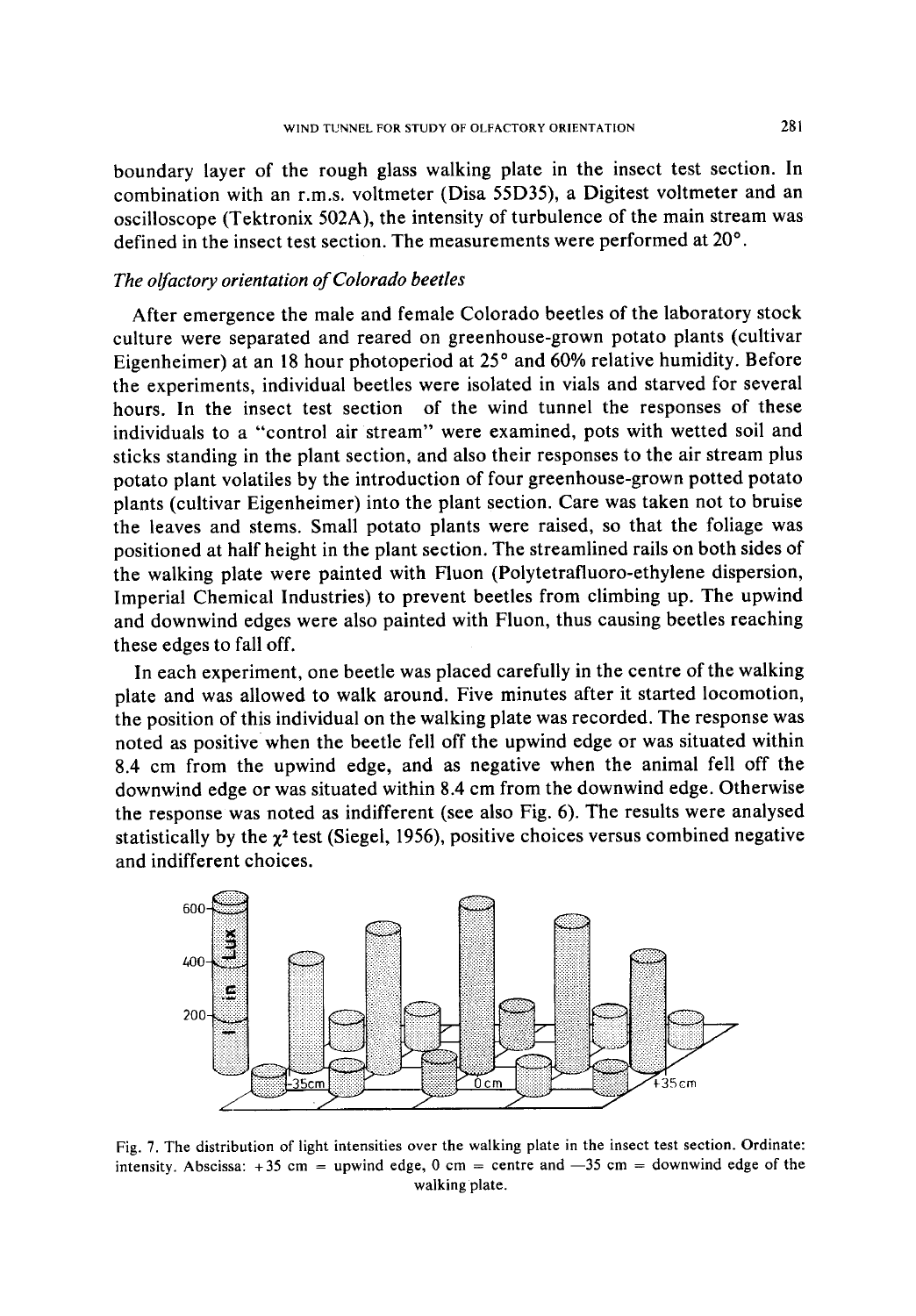boundary layer of the rough glass walking plate in the insect test section. In combination with an r.m.s, voltmeter (Disa 55D35), a Digitest voltmeter and an oscilloscope (Tektronix 502A), the intensity of turbulence of the main stream was defined in the insect test section. The measurements were performed at 20°.

# *The olfactory orientation of Colorado beetles*

After emergence the male and female Colorado beetles of the laboratory stock culture were separated and reared on greenhouse-grown potato plants (cultivar Eigenheimer) at an 18 hour photoperiod at 25° and 60% relative humidity. Before the experiments, individual beetles were isolated in vials and starved for several hours. In the insect test section of the wind tunnel the responses of these individuals to a "control air stream" were examined, pots with wetted soil and sticks standing in the plant section, and also their responses to the air stream plus potato plant volatiles by the introduction of four greenhouse-grown potted potato plants (cultivar Eigenheimer) into the plant section. Care was taken not to bruise the leaves and stems. Small potato plants were raised, so that the foliage was positioned at half height in the plant section. The streamlined rails on both sides of the walking plate were painted with Fluon (Polytetrafluoro-ethylene dispersion, Imperial Chemical Industries) to prevent beetles from climbing up. The upwind and downwind edges were also painted with Fluon, thus causing beetles reaching these edges to fall off.

In each experiment, one beetle was placed carefully in the centre of the walking plate and was allowed to walk around. Five minutes after it started locomotion, the position of this individual on the walking plate was recorded. The response was noted as positive when the beetle fell off the upwind edge or was situated within 8.4 cm from the upwind edge, and as negative when the animal fell off the downwind edge or was situated within 8.4 cm from the downwind edge. Otherwise the response was noted as indifferent (see also Fig. 6). The results were analysed statistically by the  $\chi^2$  test (Siegel, 1956), positive choices versus combined negative and indifferent choices.



Fig. 7. The distribution of light intensities over the walking plate in the insect test section. Ordinate: intensity. Abscissa: +35 cm = upwind edge, 0 cm = centre and  $-35$  cm = downwind edge of the walking plate.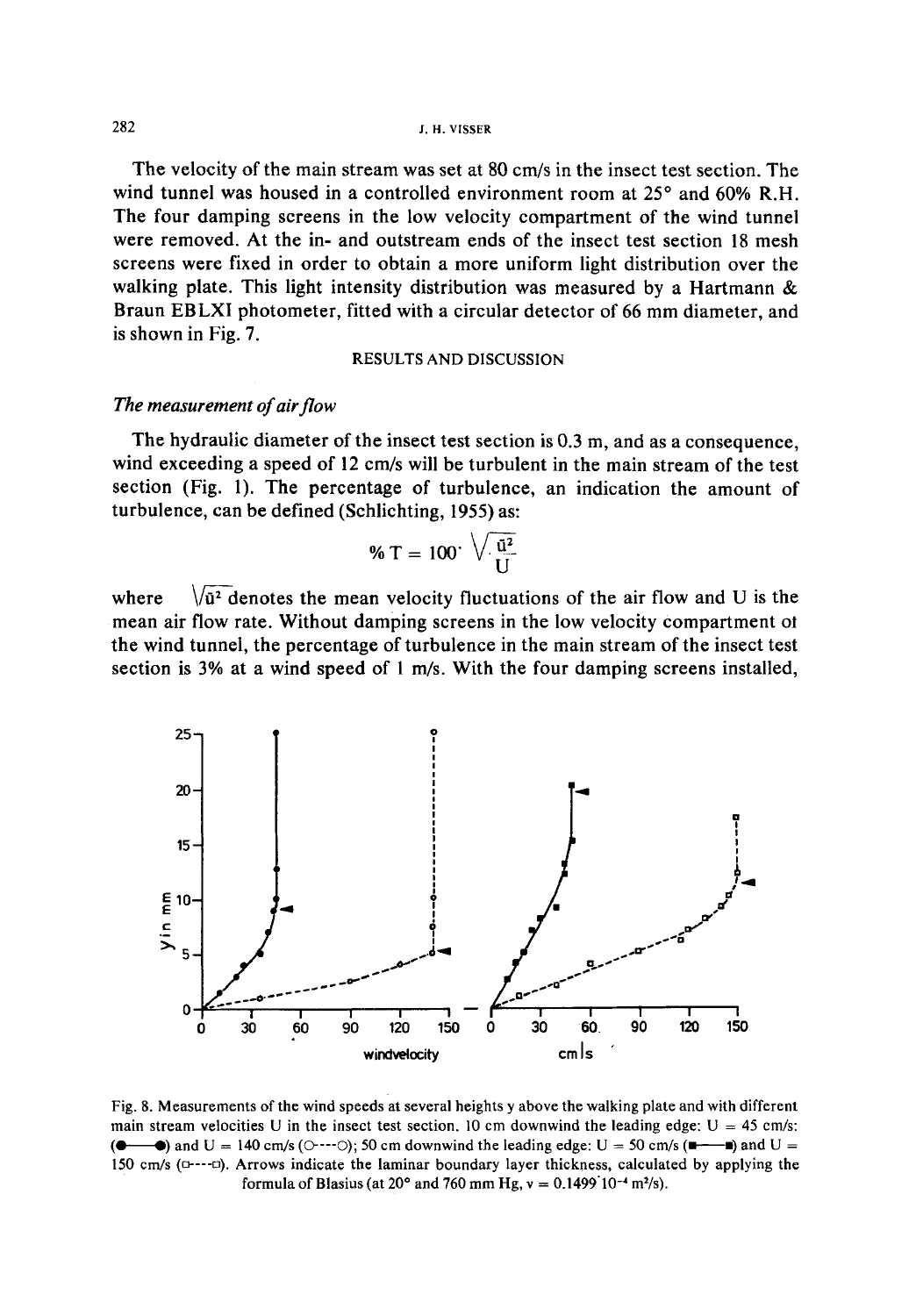The velocity of the main stream was set at 80 cm/s in the insect test section. The wind tunnel was housed in a controlled environment room at  $25^{\circ}$  and  $60\%$  R.H. The four damping screens in the low velocity compartment of the wind tunnel were removed. At the in- and outstream ends of the insect test section 18 mesh screens were fixed in order to obtain a more uniform light distribution over the walking plate. This light intensity distribution was measured by a Hartmann & Braun EBLXI photometer, fitted with a circular detector of 66 mm diameter, and is shown in Fig. 7.

#### RESULTS AND DISCUSSION

#### *The measurement of air flow*

The hydraulic diameter of the insect test section is 0.3 m, and as a consequence, wind exceeding a speed of 12 cm/s will be turbulent in the main stream of the test section (Fig. 1). The percentage of turbulence, an indication the amount of turbulence, can be defined (Schlichting, 1955) as:

$$
\% T = 100 \cdot \sqrt{\frac{\tilde{u}^2}{U}}
$$

where  $\sqrt{\tilde{u}^2}$  denotes the mean velocity fluctuations of the air flow and U is the mean air flow rate. Without damping screens in the low velocity compartment ot the wind tunnel, the percentage of turbulence in the main stream of the insect test section is 3% at a wind speed of 1 m/s. With the four damping screens installed,



Fig. 8. Measurements of the wind speeds at several heights y above the walking plate and with different main stream velocities U in the insect test section. 10 cm downwind the leading edge:  $U = 45$  cm/s: (**e**  $\bullet$ ) and U = 140 cm/s ( $\circ$ --- $\circ$ ); 50 cm downwind the leading edge: U = 50 cm/s ( $\bullet$ -- $\bullet$ ) and U = 150 cm/s ( $C$ --- $C$ ). Arrows indicate the laminar boundary layer thickness, calculated by applying the formula of Blasius (at  $20^{\circ}$  and 760 mm Hg,  $v = 0.1499 \, 10^{-4}$  m<sup>2</sup>/s).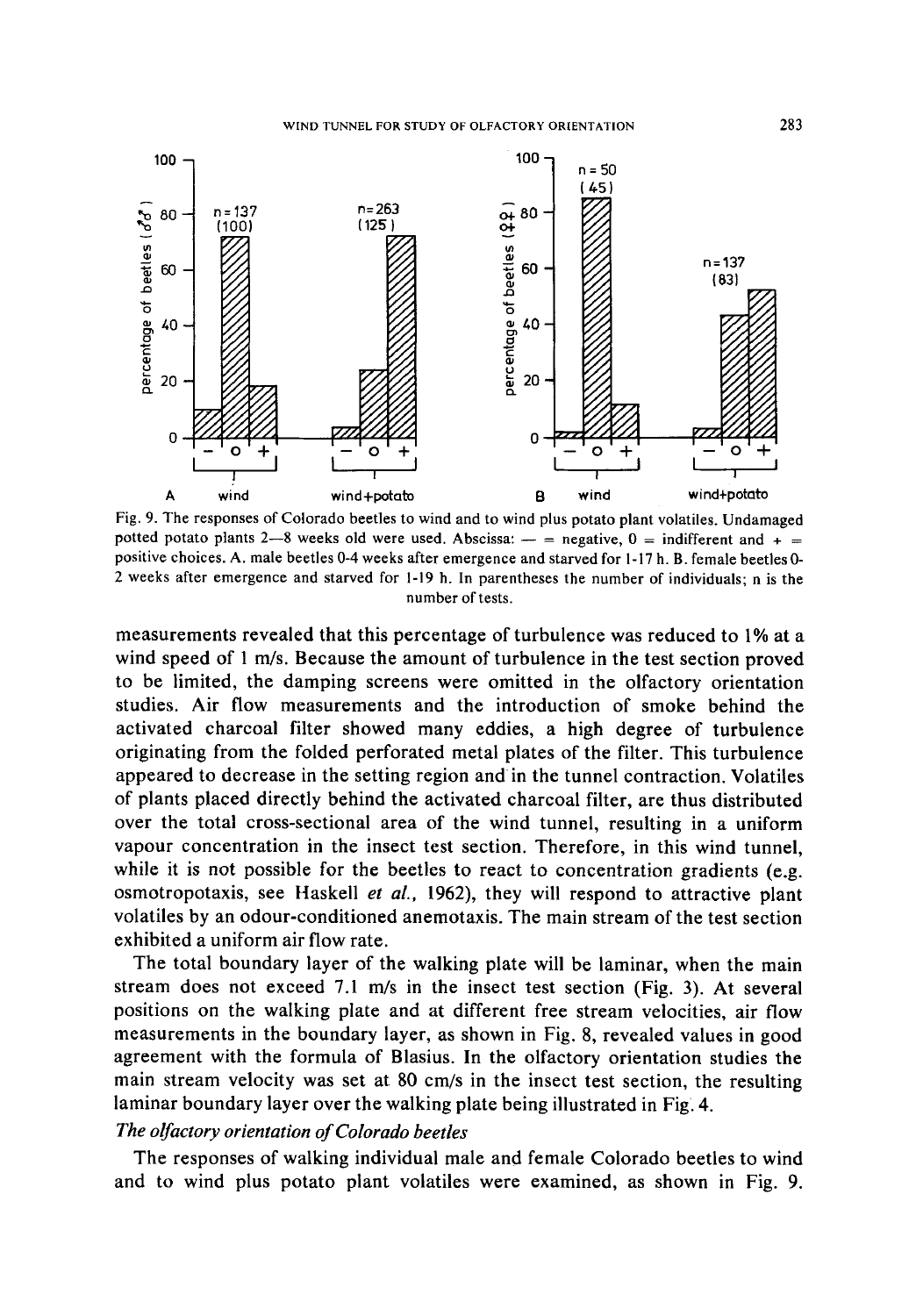

Fig. 9. The responses of Colorado beetles to wind and to wind plus potato plant volatiles. Undamaged potted potato plants 2-8 weeks old were used. Abscissa:  $-$  = negative, 0 = indifferent and + = positive choices. A. male beetles 0-4 weeks after emergence and starved for 1-17 h. B. female beetles 0- 2 weeks after emergence and starved for 1-19 h. In parentheses the number of individuals; n is the number of tests.

measurements revealed that this percentage of turbulence was reduced to 1% at a wind speed of 1 m/s. Because the amount of turbulence in the test section proved to be limited, the damping screens were omitted in the olfactory orientation studies. Air flow measurements and the introduction of smoke behind the activated charcoal filter showed many eddies, a high degree of turbulence originating from the folded perforated metal plates of the filter. This turbulence appeared to decrease in the setting region and in the tunnel contraction. Volatiles of plants placed directly behind the activated charcoal filter, are thus distributed over the total cross-sectional area of the wind tunnel, resulting in a uniform vapour concentration in the insect test section. Therefore, in this wind tunnel, while it is not possible for the beetles to react to concentration gradients (e.g. osmotropotaxis, see HaskeU *et al.,* 1962), they will respond to attractive plant volatiles by an odour-conditioned anemotaxis. The main stream of the test section exhibited a uniform air flow rate.

The total boundary layer of the walking plate will be laminar, when the main stream does not exceed 7.1 m/s in the insect test section (Fig. 3). At several positions on the walking plate and at different free stream velocities, air flow measurements in the boundary layer, as shown in Fig. 8, revealed values in good agreement with the formula of Blasius. In the olfactory orientation studies the main stream velocity was set at 80 cm/s in the insect test section, the resulting laminar boundary layer over the walking plate being illustrated in Fig. 4.

### *The olfactory orientation of Colorado beetles*

The responses of walking individual male and female Colorado beetles to wind and to wind plus potato plant volatiles were examined, as shown in Fig. 9.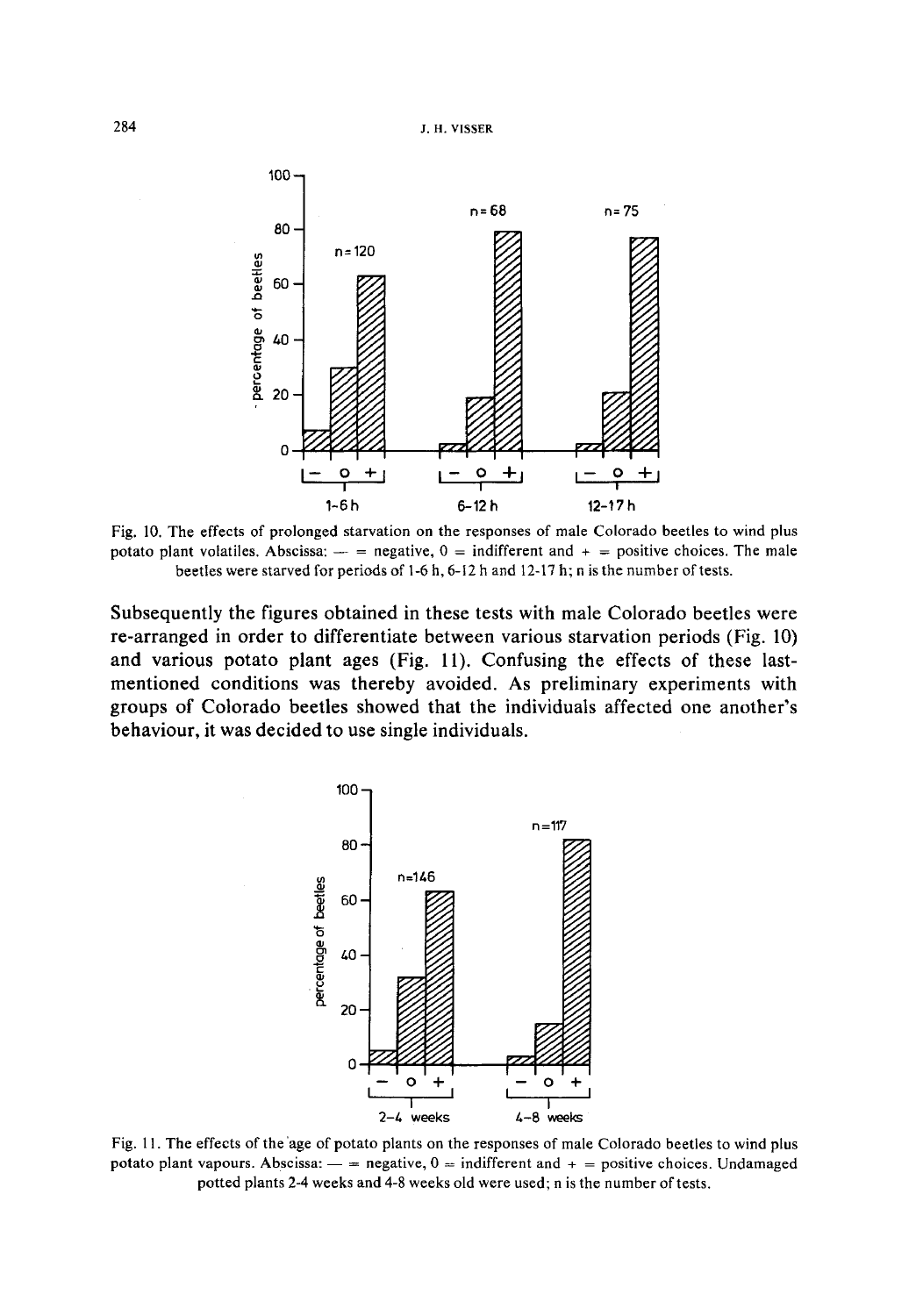

**Fig. 10. The effects of prolonged starvation on the responses of male Colorado beetles to wind plus**  potato plant volatiles. Abscissa:  $-$  = negative,  $0 =$  indifferent and  $+$  = positive choices. The male **beetles were starved for periods of 1-6 h, 6-12 h and 12-17 h; n is the number of tests.** 

**Subsequently the figures obtained in these tests with male Colorado beetles were re-arranged in order to differentiate between various starvation periods (Fig. 10) and various potato plant ages (Fig. 11). Confusing the effects of these lastmentioned conditions was thereby avoided. As preliminary experiments with groups of Colorado beetles showed that the individuals affected one another's behaviour, it was decided to use single individuals.** 



**Fig. 11. The effects of the 'age of potato plants on the responses of male Colorado beetles to wind plus**  potato plant vapours. Abscissa:  $-$  = negative,  $0 =$  indifferent and  $+$  = positive choices. Undamaged **potted plants 2-4 weeks and 4-8 weeks old were used; n is the number of tests.**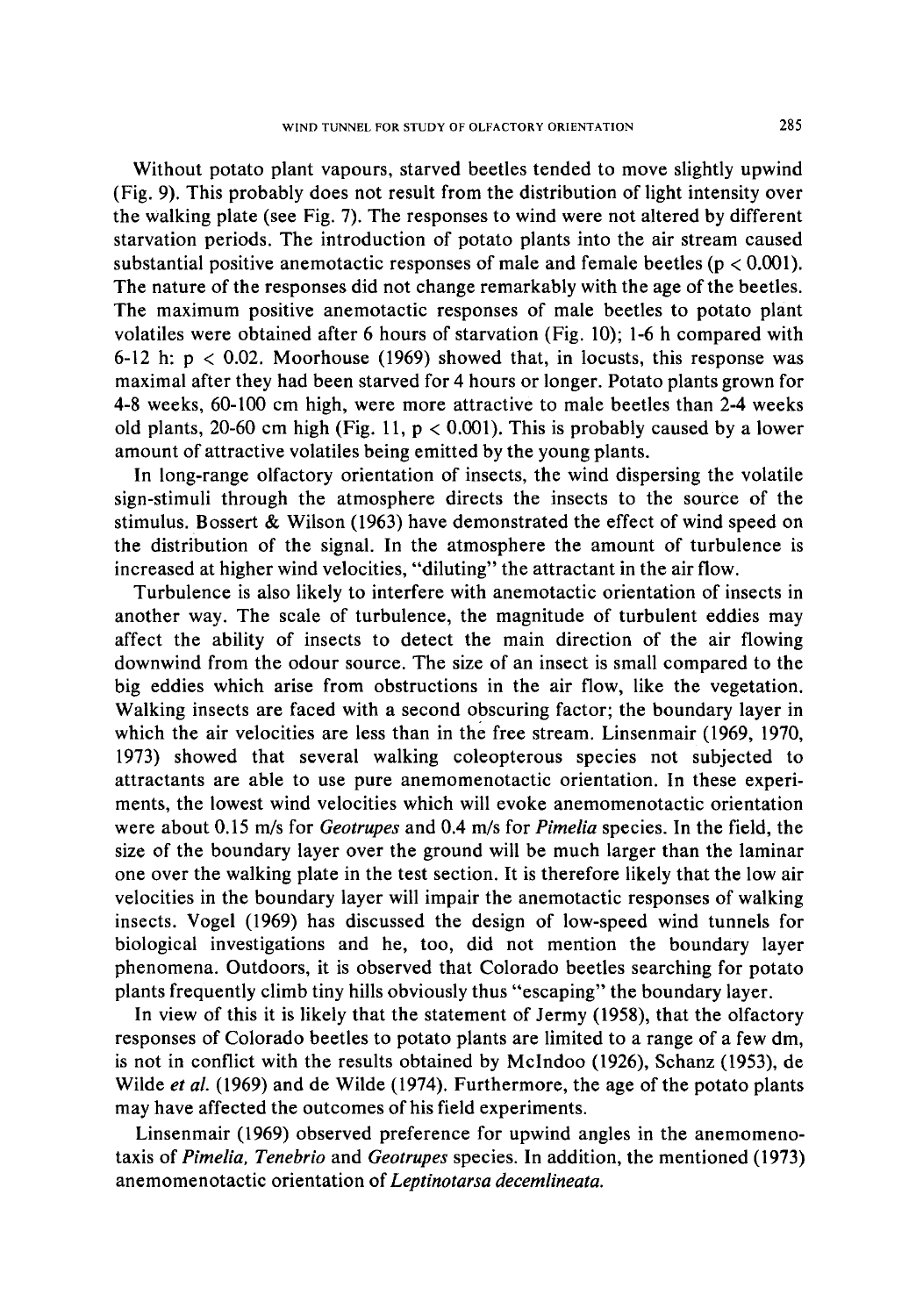Without potato plant vapours, starved beetles tended to move slightly upwind (Fig. 9). This probably does not result from the distribution of light intensity over the walking plate (see Fig. 7). The responses to wind were not altered by different starvation periods. The introduction of potato plants into the air stream caused substantial positive anemotactic responses of male and female beetles ( $p < 0.001$ ). The nature of the responses did not change remarkably with the age of the beetles. The maximum positive anemotactic responses of male beetles to potato plant volatiles were obtained after 6 hours of starvation (Fig. 10); 1-6 h compared with 6-12 h:  $p < 0.02$ . Moorhouse (1969) showed that, in locusts, this response was maximal after they had been starved for 4 hours or longer. Potato plants grown for 4-8 weeks, 60-100 cm high, were more attractive to male beetles than 2-4 weeks old plants, 20-60 cm high (Fig. 11,  $p < 0.001$ ). This is probably caused by a lower amount of attractive volatiles being emitted by the young plants.

In long-range olfactory orientation of insects, the wind dispersing the volatile sign-stimuli through the atmosphere directs the insects to the source of the stimulus. Bossert & Wilson (1963) have demonstrated the effect of wind speed on the distribution of the signal. In the atmosphere the amount of turbulence is increased at higher wind velocities, "diluting" the attractant in the air flow.

Turbulence is also likely to interfere with anemotactic orientation of insects in another way. The scale of turbulence, the magnitude of turbulent eddies may affect the ability of insects to detect the main direction of the air flowing downwind from the odour source. The size of an insect is small compared to the big eddies which arise from obstructions in the air flow, like the vegetation. Walking insects are faced with a second obscuring factor; the boundary layer in which the air velocities are less than in the free stream. Linsenmair (1969, 1970, 1973) showed that several walking coleopterous species not subjected to attractants are able to use pure anemomenotactic orientation. In these experiments, the lowest wind velocities which will evoke anemomenotactic orientation were about 0.15 m/s for *Geotrupes* and 0.4 m/s for *Pimelia* species. In the field, the size of the boundary layer over the ground will be much larger than the laminar one over the walking plate in the test section. It is therefore likely that the low air velocities in the boundary layer will impair the anemotactic responses of walking insects. Vogel (1969) has discussed the design of low-speed wind tunnels for biological investigations and he, too, did not mention the boundary layer phenomena. Outdoors, it is observed that Colorado beetles searching for potato plants frequently climb tiny hills obviously thus "escaping" the boundary layer.

In view of this it is likely that the statement of Jermy (1958), that the olfactory responses of Colorado beetles to potato plants are limited to a range of a few dm, is not in conflict with the results obtained by McIndoo (1926), Schanz (1953), de Wilde *et al.* (1969) and de Wilde (1974). Furthermore, the age of the potato plants may have affected the outcomes of his field experiments.

Linsenmair (1969) observed preference for upwind angles in the anemomenotaxis of *Pimelia, Tenebrio* and *Geotrupes* species. In addition, the mentioned (1973) anemomenotactic orientation of *Leptinotarsa decemlineata.*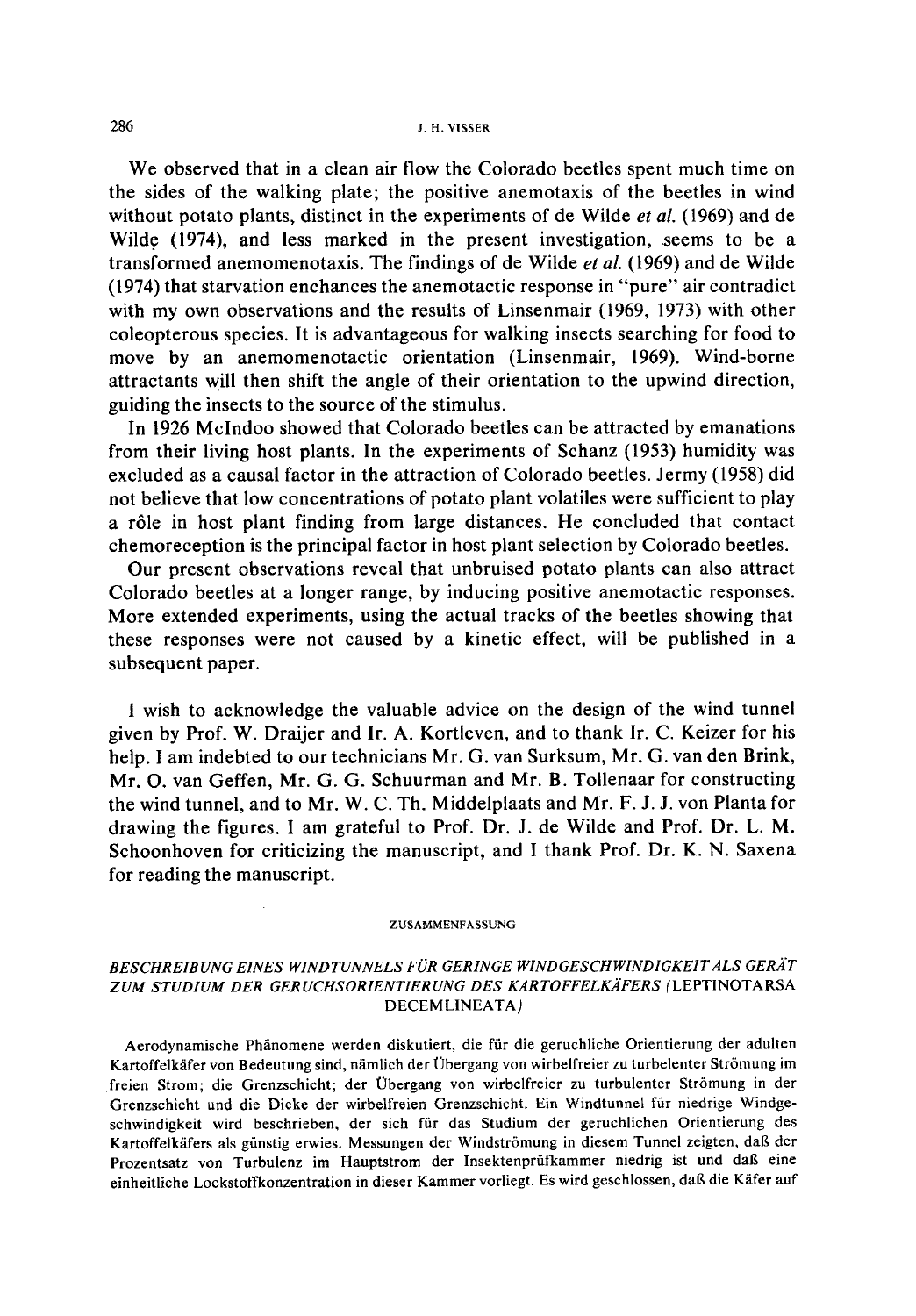#### 286 J.H. VISSER

We observed that in a clean air flow the Colorado beetles spent much time on the sides of the walking plate; the positive anemotaxis of the beetles in wind without potato plants, distinct in the experiments of de Wilde *et al.* (1969) and de Wilde (1974), and less marked in the present investigation, seems to be a transformed anemomenotaxis. The findings of de Wilde *et al.* (1969) and de Wilde (1974) that starvation enchances the anemotactic response in "pure" air contradict with my own observations and the results of Linsenmair (1969, 1973) with other coleopterous species. It is advantageous for walking insects searching for food to move by an anemomenotactic orientation (Linsenmair, 1969). Wind-borne attractants will then shift the angle of their orientation to the upwind direction, guiding the insects to the source of the stimulus.

In 1926 McIndoo showed that Colorado beetles can be attracted by emanations from their living host plants. In the experiments of Schanz (1953) humidity was excluded as a causal factor in the attraction of Colorado beetles. Jermy (1958) did not believe that low concentrations of potato plant volatiles were sufficient to play a r61e in host plant finding from large distances. He concluded that contact chemoreception is the principal factor in host plant selection by Colorado beetles.

Our present observations reveal that unbruised potato plants can also attract Colorado beetles at a longer range, by inducing positive anemotactic responses. More extended experiments, using the actual tracks of the beetles showing that these responses were not caused by a kinetic effect, will be published in a subsequent paper.

I wish to acknowledge the valuable advice on the design of the wind tunnel given by Prof. W. Draijer and Ir. A. Kortleven, and to thank Ir. C. Keizer for his help. I am indebted to our technicians Mr. G. van Surksum, Mr. G. van den Brink, Mr. O. van Geffen, Mr. G. G. Schuurman and Mr. B. Toilenaar for constructing the wind tunnel, and to Mr. W. C. Th. Middelplaats and Mr. F. J. J. von Planta for drawing the figures. I am grateful to Prof. Dr. J. de Wilde and Prof. Dr. L. M. Schoonhoven for criticizing the manuscript, and I thank Prof. Dr. K. N. Saxena for reading the manuscript.

#### ZUSAMMENFASSUNG

### *BESCHREIBUNG EINES WINDTUNNELS FOR GERINGE WINDGESCHWINDIGKEITALS GERA'T ZUM STUD1UM DER GERUCHSORIENTIERUNG DES KARTOFFELKXFERS* (LEPTINOTARSA DECEM LINEATA)

Aerodynamische Phänomene werden diskutiert, die für die geruchliche Orientierung der adulten Kartoffelkäfer von Bedeutung sind, nämlich der Übergang von wirbelfreier zu turbelenter Strömung im freien Strom; die Grenzschicht; der Obergang von wirbelfreier zu turbulenter Str6mung in der Grenzschicht und die Dieke der wirbelfreien Grenzschicht. Ein Windtunnel fiir niedrige Windgeschwindigkeit wird beschrieben, der sich ffir das Studium der geruchlichen Orientierung des Kartoffelkäfers als günstig erwies. Messungen der Windströmung in diesem Tunnel zeigten, daß der Prozentsatz von Turbulenz im Hauptstrom der Insektenprüfkammer niedrig ist und daß eine einheitliche Lockstoffkonzentration in dieser Kammer vorliegt. Es wird geschlossen, daß die Käfer auf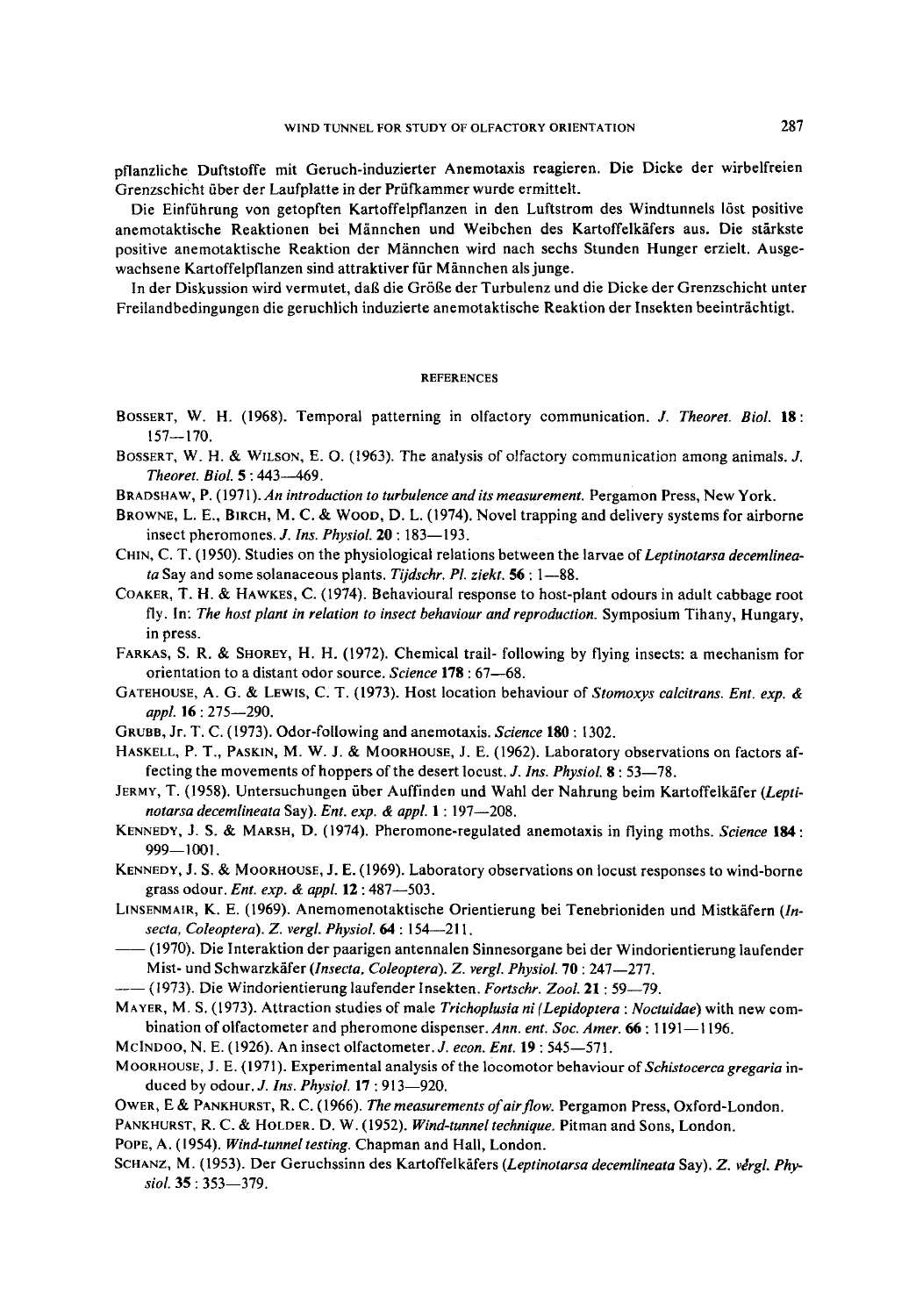pflanzliche Duftstoffe mit Geruch-induzierter Anemotaxis reagieren. Die Dicke der wirbelfreien Grenzschicht über der Laufplatte in der Prüfkammer wurde ermittelt.

Die Einffihrung von getopften Kartoffelpflanzen in den Luftstrom des Windtunnels 16st positive anemotaktische Reaktionen bei Männchen und Weibchen des Kartoffelkäfers aus. Die stärkste positive anemotaktische Reaktion der Miinnchen wird nach sechs Stunden Hunger erzielt. Ausgewachsene Kartoffelpflanzen sind attraktiver für Männchen als junge.

In der Diskussion wird vermutet, dag die Gr6ge der Turbulenz und die Dicke der Grenzschicht unter Freilandbedingungen die geruchlich induzierte anemotaktische Reaktion der Insekten beeinträchtigt.

#### **REFERENCES**

- BOSSERT, W. H. (1968). Temporal patterning in olfactory communication. J. *Theoret. Biol.* 18: 157--170.
- BOSSERT, W. H. & WILSON, E. O. (1963). The analysis of olfactory communication among animals. J. *Theoret. Biol.* 5 : 443--469.
- BRADSHAW, P. (1971). *An introduction to turbulence andits measurement.* Pergamon Press, New York.
- BROWNE, L. E., BIRCH, M. C. & WOOD, D. L. (1974). Novel trapping and delivery systems for airborne insect pheromones. *J. Ins. Physiol.* **20** : 183–193.
- CHIN, C. T. (1950). Studies on the physiological relations between the larvae of *Leptinotarsa decemlineata* Say and some solanaceous plants. *Tijdschr. PI. ziekt.* 56 : 1--88.
- COAKER, T. H. & HAWKES, C. (1974). Behavioural response to host-plant odours in adult cabbage root fly. In: *The host plant in relation to insect behaviour and reproduction.* Symposium Tihany, Hungary, in press.
- FARKAS, S. R. & SHOREY, H. H. (1972). Chemical trail- following by flying insects: a mechanism for orientation to a distant odor source. *Science* 178 : 67--68.
- GAXEHOUSE, A. G. & LEWIS, C. T. (1973). Host location behaviour of *Stomoxys calcitrans. Ent. exp. & appl.* 16 : 275--290.
- GRUBB, Jr. T. C. (1973). Odor-following and anemotaxis. *Science* 180 : 1302.
- HASKELL, P. T., PASKIN, M. W. J. & MOORHOUSE, J. E. (1962). Laboratory observations on factors affecting the movements of hoppers of the desert locust. J. *Ins. Physiol.* 8 : 53--78.
- JERMY, T. (1958). Untersuchungen über Auffinden und Wahl der Nahrung beim Kartoffelkäfer (Lepti*notarsa decemlineata* Say). *Ent. exp. & appl.* 1 : 197--208.
- KENNEDY, J. S. & MARSH, D. (1974). Pheromone-regulated anemotaxis in flying moths. *Science* 184: 999--1001.
- KENNEDY, J. S. & MOORHOUSE, J. E. (1969). Laboratory observations on locust responses to wind-borne grass odour. *Ent. exp. & appl.* 12 : 487--503.
- LINSENMAIR, K. E. (1969). Anemomenotaktische Orientierung bei Tenebrioniden und Mistkäfern (In*secta, Coleoptera). Z. vergl. Physiol.* 64 : 154--211.
- -(1970). Die Interaktion der paarigen antennalen Sinnesorgane bei der Windorientierung laufender Mist- und Schwarzkäfer *(Insecta, Coleoptera). Z. vergl. Physiol.* **70** : 247-277.
- $-$  (1973). Die Windorientierung laufender Insekten. *Fortschr. Zool.* 21: 59-79.
- MAYER, M. S. (1973). Attraction studies of male *Trichoplusia ni (Lepidoptera : Noctuidae)* with new combination of olfactometer and pheromone dispenser. *Ann. ent. Soc. Amer.* 66: 1191-1196.
- MCINDOO, N. E. (1926). An insect olfactometer. *J. econ. Ent.* 19 : 545--571.
- M OORHOUSE, J. E. (1971 ). Experimental analysis of the locomotor behaviour of *Schistocerca gregaria* induced by odour. *J. Ins. Physiol.* 17 : 913--920.
- OWER, E & PANKHURST, R. C. (1966). *The measurements of air flow*. Pergamon Press, Oxford-London.
- PANKHURST, R. C. & HOLDER. D. W. (1952). *Wind-tunneltechnique.* Pitman and Sons, London.
- POPE, A. (1954). *Wind-tunnel testing.* Chapman and Hall, London.
- SCHANZ, M. (1953). Der Geruchssinn des Kartoffelkäfers (Leptinotarsa decemlineata Say). Z. vergl. Phy*siol.* 35 : 353--379.